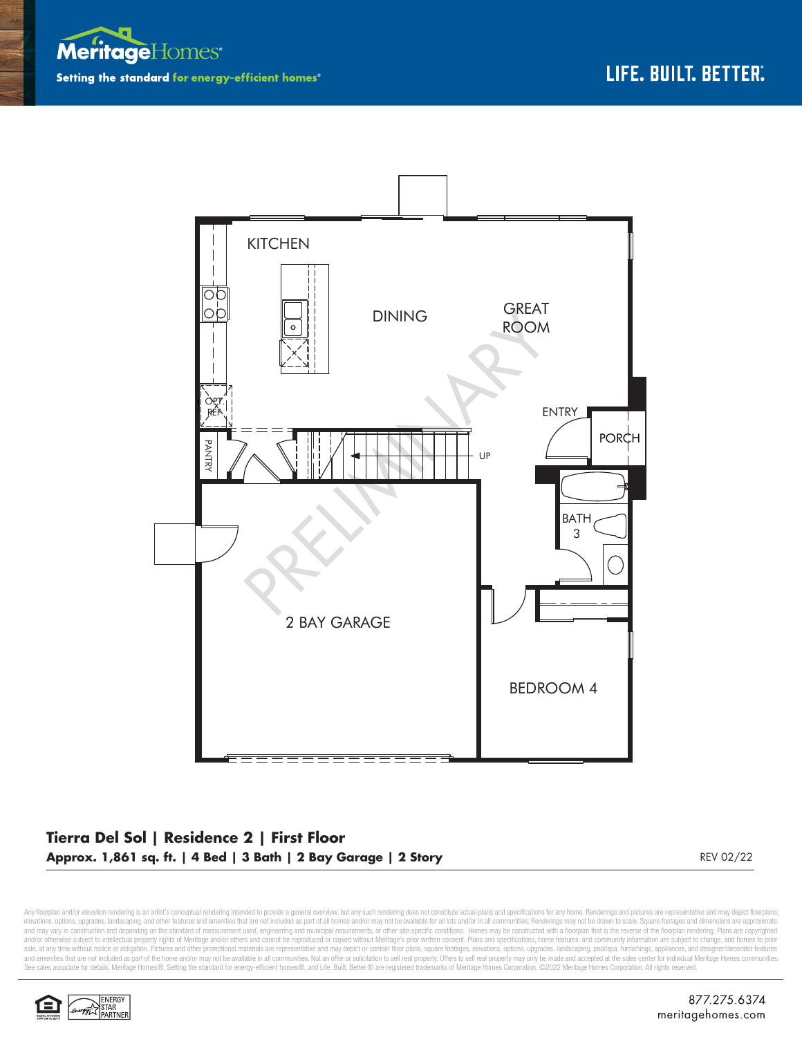



## **Tierra Del Sol | Residence 2 | First Floor Approx. 1,861 sq. ft. | 4 Bed | 3 Bath | 2 Bay Garage | 2 Story** REV 02/22 REV 02/22

Any floorplan and/or elevation rendering is an artist's conceptual rendering intended to provide a general overview, but any such rendering does not constitute actual plans and specifications for any home. Renderings and p elevations, options, upgrades, landscaping, and other features and amenities that are not included as part of all homes and/or may not be available for all olst and/or in all communities. Renderings may not be drawn to sca sale, at any time without notice or obligation. Pictures and other promotional materials are representative and may depict or contain floor plans, square footages, elevations, options, upgrades, landscaping, pool/spa, furn See sales associate for details. Meritage Homes®, Setting the standard for energy-efficient homes®, and Life. Built. Better. @ are registered trademarks of Meritage Homes Corporation. ©2022 Meritage Homes Corporation. All